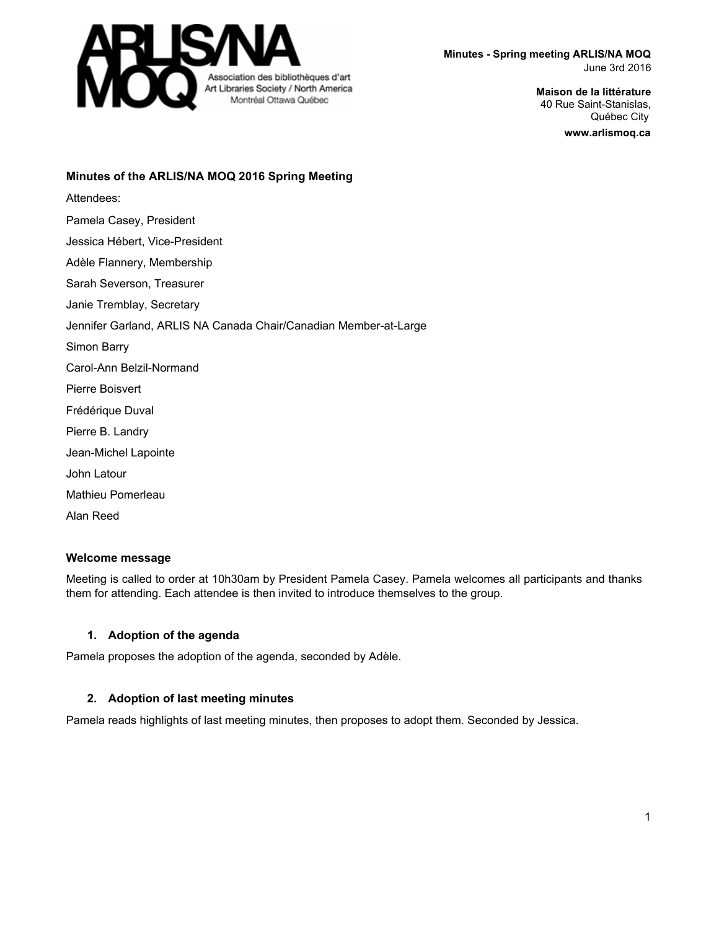

> **Maison de la littérature** 40 Rue Saint-Stanislas, Québec City **www.arlismoq.ca**

# **Minutes of the ARLIS/NA MOQ 2016 Spring Meeting** Attendees: Pamela Casey, President Jessica Hébert, Vice-President Adèle Flannery, Membership Sarah Severson, Treasurer Janie Tremblay, Secretary Jennifer Garland, ARLIS NA Canada Chair/Canadian Member-at-Large Simon Barry Carol-Ann Belzil-Normand Pierre Boisvert Frédérique Duval Pierre B. Landry Jean-Michel Lapointe John Latour Mathieu Pomerleau Alan Reed **Welcome message**

Meeting is called to order at 10h30am by President Pamela Casey. Pamela welcomes all participants and thanks them for attending. Each attendee is then invited to introduce themselves to the group.

# **1. Adoption of the agenda**

Pamela proposes the adoption of the agenda, seconded by Adèle.

# **2. Adoption of last meeting minutes**

Pamela reads highlights of last meeting minutes, then proposes to adopt them. Seconded by Jessica.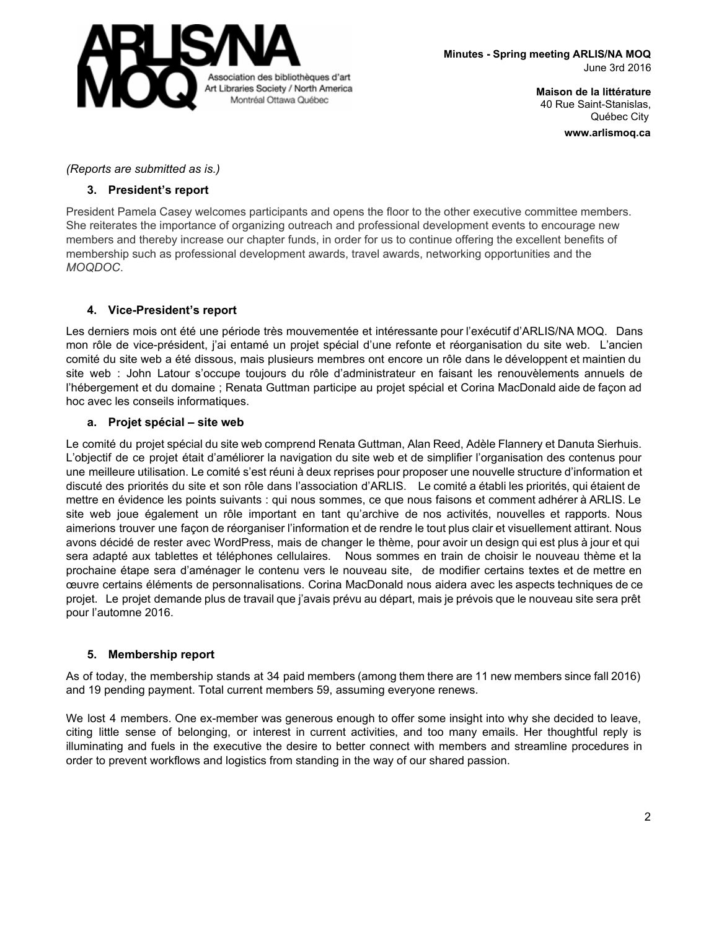

> **Maison de la littérature** 40 Rue Saint-Stanislas, Québec City **www.arlismoq.ca**

# *(Reports are submitted as is.)*

# **3. President's report**

President Pamela Casey welcomes participants and opens the floor to the other executive committee members. She reiterates the importance of organizing outreach and professional development events to encourage new members and thereby increase our chapter funds, in order for us to continue offering the excellent benefits of membership such as professional development awards, travel awards, networking opportunities and the *MOQDOC*.

# **4.** Vice-President's report

Les derniers mois ont été une période très mouvementée et intéressante pour l'exécutif d'ARLIS/NA MOQ. Dans mon rôle de vice-président, j'ai entamé un projet spécial d'une refonte et réorganisation du site web. L'ancien comité du site web a été dissous, mais plusieurs membres ont encore un rôle dans le développent et maintien du site web : John Latour s'occupe toujours du rôle d'administrateur en faisant les renouvèlements annuels de l'hébergement et du domaine ; Renata Guttman participe au projet spécial et Corina MacDonald aide de façon ad hoc avec les conseils informatiques.

# **a. Projet spécial – site web**

Le comité du projet spécial du site web comprend Renata Guttman, Alan Reed, Adèle Flannery et Danuta Sierhuis. L'objectif de ce projet était d'améliorer la navigation du site web et de simplifier l'organisation des contenus pour une meilleure utilisation. Le comité s'est réuni à deux reprises pour proposer une nouvelle structure d'information et discuté des priorités du site et son rôle dans l'association d'ARLIS. Le comité a établi les priorités, qui étaient de mettre en évidence les points suivants : qui nous sommes, ce que nous faisons et comment adhérer à ARLIS. Le site web joue également un rôle important en tant qu'archive de nos activités, nouvelles et rapports. Nous aimerions trouver une façon de réorganiser l'information et de rendre le tout plus clair et visuellement attirant. Nous avons décidé de rester avec WordPress, mais de changer le thème, pour avoir un design qui est plus à jour et qui sera adapté aux tablettes et téléphones cellulaires. Nous sommes en train de choisir le nouveau thème et la prochaine étape sera d'aménager le contenu vers le nouveau site, de modifier certains textes et de mettre en œuvre certains éléments de personnalisations. Corina MacDonald nous aidera avec les aspects techniques de ce projet. Le projet demande plus de travail que j'avais prévu au départ, mais je prévois que le nouveau site sera prêt pour l'automne 2016.

# **5. Membership report**

As of today, the membership stands at 34 paid members (among them there are 11 new members since fall 2016) and 19 pending payment. Total current members 59, assuming everyone renews.

We lost 4 members. One ex-member was generous enough to offer some insight into why she decided to leave, citing little sense of belonging, or interest in current activities, and too many emails. Her thoughtful reply is illuminating and fuels in the executive the desire to better connect with members and streamline procedures in order to prevent workflows and logistics from standing in the way of our shared passion.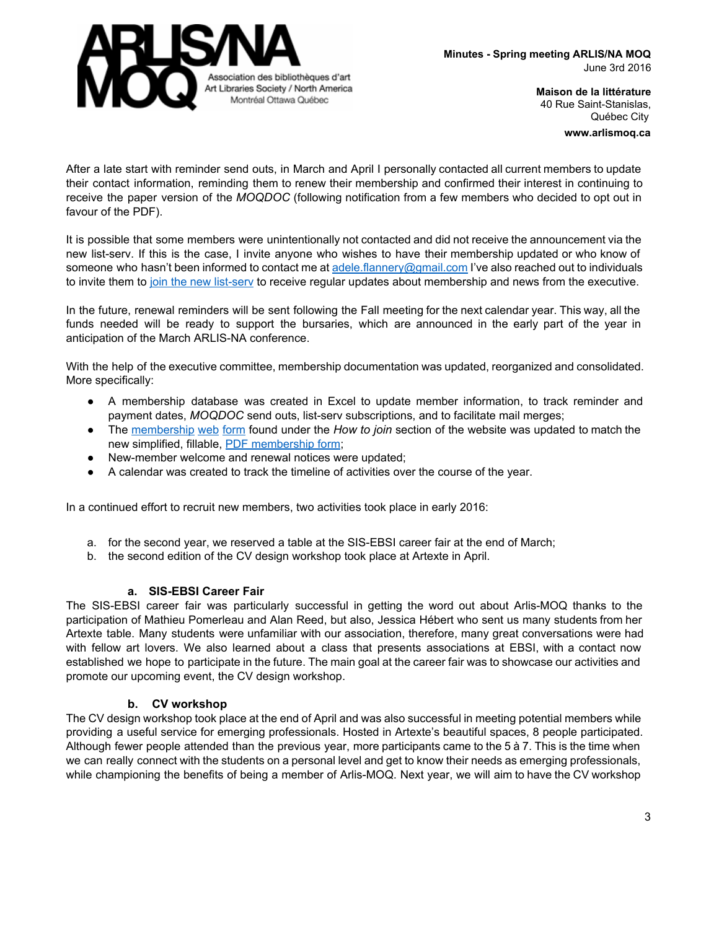

After a late start with reminder send outs, in March and April I personally contacted all current members to update their contact information, reminding them to renew their membership and confirmed their interest in continuing to receive the paper version of the *MOQDOC* (following notification from a few members who decided to opt out in favour of the PDF).

It is possible that some members were unintentionally not contacted and did not receive the announcement via the new list-serv. If this is the case, I invite anyone who wishes to have their membership updated or who know of someone who hasn't been informed to contact me at [adele.flannery@gmail.com](mailto:adele.flannery@gmail.com) I've also reached out to individuals to invite them to join the new list-serv to receive regular updates about membership and news from the executive.

In the future, renewal reminders will be sent following the Fall meeting for the next calendar year. This way, all the funds needed will be ready to support the bursaries, which are announced in the early part of the year in anticipation of the March ARLIS-NA conference.

With the help of the executive committee, membership documentation was updated, reorganized and consolidated. More specifically:

- A membership database was created in Excel to update member information, to track reminder and payment dates, *MOQDOC* send outs, list-serv subscriptions, and to facilitate mail merges;
- The [membership](http://www.arlismoq.ca/formulaire-dadhesion/langswitch_lang/en/) web form found under the *How to join* section of the website was updated to match the new simplified, fillable, [PDF membership form](http://www.arlismoq.ca/wp-content/uploads/2016/04/2016_adh%C3%A9sion_membership_FR_EN.pdf);
- New-member welcome and renewal notices were updated;
- A calendar was created to track the timeline of activities over the course of the year.

In a continued effort to recruit new members, two activities took place in early 2016:

- a. for the second year, we reserved a table at the SIS-EBSI career fair at the end of March;
- b. the second edition of the CV design workshop took place at Artexte in April.

#### **a. SISEBSI Career Fair**

The SIS-EBSI career fair was particularly successful in getting the word out about Arlis-MOQ thanks to the participation of Mathieu Pomerleau and Alan Reed, but also, Jessica Hébert who sent us many students from her Artexte table. Many students were unfamiliar with our association, therefore, many great conversations were had with fellow art lovers. We also learned about a class that presents associations at EBSI, with a contact now established we hope to participate in the future. The main goal at the career fair was to showcase our activities and promote our upcoming event, the CV design workshop.

#### **b. CV workshop**

The CV design workshop took place at the end of April and was also successful in meeting potential members while providing a useful service for emerging professionals. Hosted in Artexte's beautiful spaces, 8 people participated. Although fewer people attended than the previous year, more participants came to the 5 à 7. This is the time when we can really connect with the students on a personal level and get to know their needs as emerging professionals, while championing the benefits of being a member of Arlis-MOQ. Next year, we will aim to have the CV workshop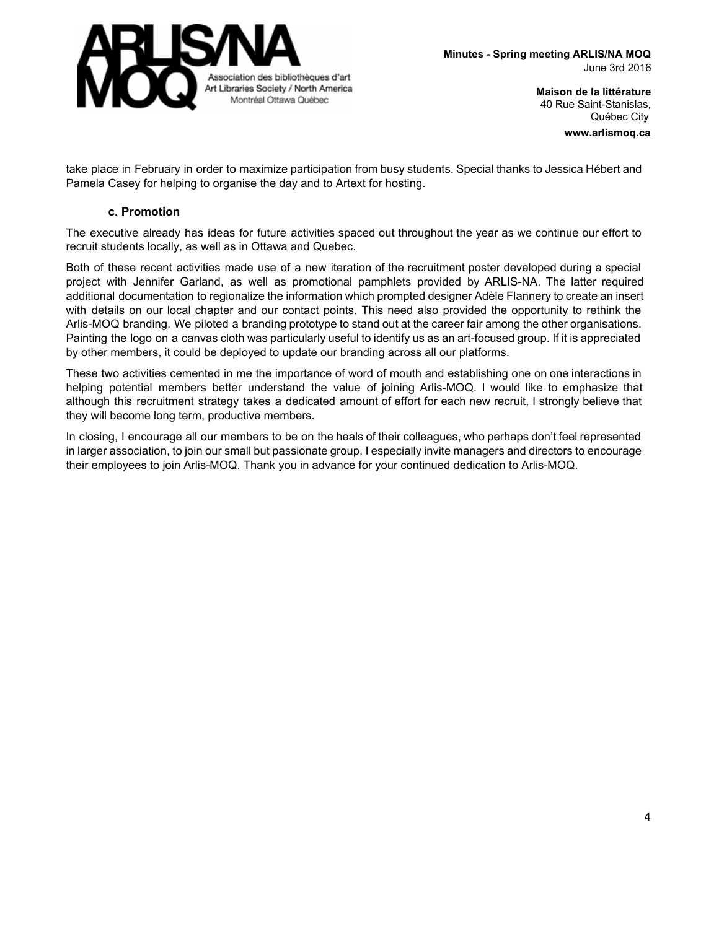

take place in February in order to maximize participation from busy students. Special thanks to Jessica Hébert and Pamela Casey for helping to organise the day and to Artext for hosting.

#### **c. Promotion**

The executive already has ideas for future activities spaced out throughout the year as we continue our effort to recruit students locally, as well as in Ottawa and Quebec.

Both of these recent activities made use of a new iteration of the recruitment poster developed during a special project with Jennifer Garland, as well as promotional pamphlets provided by ARLIS-NA. The latter required additional documentation to regionalize the information which prompted designer Adèle Flannery to create an insert with details on our local chapter and our contact points. This need also provided the opportunity to rethink the Arlis-MOQ branding. We piloted a branding prototype to stand out at the career fair among the other organisations. Painting the logo on a canvas cloth was particularly useful to identify us as an art-focused group. If it is appreciated by other members, it could be deployed to update our branding across all our platforms.

These two activities cemented in me the importance of word of mouth and establishing one on one interactions in helping potential members better understand the value of joining Arlis-MOQ. I would like to emphasize that although this recruitment strategy takes a dedicated amount of effort for each new recruit, I strongly believe that they will become long term, productive members.

In closing, I encourage all our members to be on the heals of their colleagues, who perhaps don't feel represented in larger association, to join our small but passionate group. I especially invite managers and directors to encourage their employees to join Arlis-MOQ. Thank you in advance for your continued dedication to Arlis-MOQ.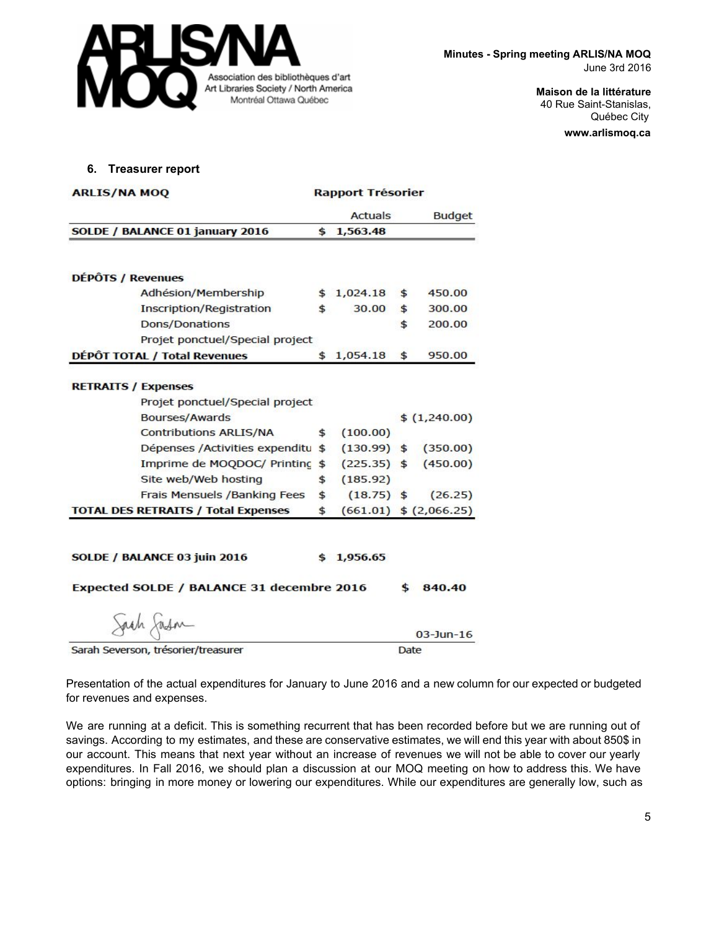

> **Maison de la littérature** 40 Rue Saint-Stanislas, Québec City **www.arlismoq.ca**

**6. Treasurer report**

| SOLDE / BALANCE 01 january 2016<br><b>DÉPÔTS / Revenues</b> | \$           | Actuals<br>1,563.48          | <b>Budget</b>              |
|-------------------------------------------------------------|--------------|------------------------------|----------------------------|
|                                                             |              |                              |                            |
|                                                             |              |                              |                            |
|                                                             |              |                              |                            |
|                                                             |              |                              |                            |
| Adhésion/Membership                                         |              | \$1,024.18                   | \$<br>450.00               |
| Inscription/Registration                                    | \$           | 30.00                        | \$<br>300.00               |
| <b>Dons/Donations</b>                                       |              |                              | \$<br>200.00               |
| Projet ponctuel/Special project                             |              |                              |                            |
| DÉPÔT TOTAL / Total Revenues                                | \$           | 1,054.18                     | \$<br>950.00               |
|                                                             |              |                              |                            |
| <b>RETRAITS / Expenses</b>                                  |              |                              |                            |
| Projet ponctuel/Special project                             |              |                              |                            |
| <b>Bourses/Awards</b>                                       |              |                              | \$(1,240.00)               |
| Contributions ARLIS/NA                                      | $\mathsf{s}$ | (100.00)                     |                            |
| Dépenses / Activities expenditu                             |              | \$(130.99) \$(350.00)        |                            |
| Imprime de MOQDOC/ Printing                                 |              | $$$ (225.35) $$$ (450.00)    |                            |
| Site web/Web hosting                                        | $\mathsf{s}$ | (185.92)                     |                            |
| Frais Mensuels / Banking Fees                               |              | $(18.75)$ \$<br>$\mathsf{s}$ | (26.25)                    |
| <b>TOTAL DES RETRAITS / Total Expenses</b>                  | \$           |                              | $(661.01)$ \$ $(2,066.25)$ |

Presentation of the actual expenditures for January to June 2016 and a new column for our expected or budgeted for revenues and expenses.

We are running at a deficit. This is something recurrent that has been recorded before but we are running out of savings. According to my estimates, and these are conservative estimates, we will end this year with about 850\$ in our account. This means that next year without an increase of revenues we will not be able to cover our yearly expenditures. In Fall 2016, we should plan a discussion at our MOQ meeting on how to address this. We have options: bringing in more money or lowering our expenditures. While our expenditures are generally low, such as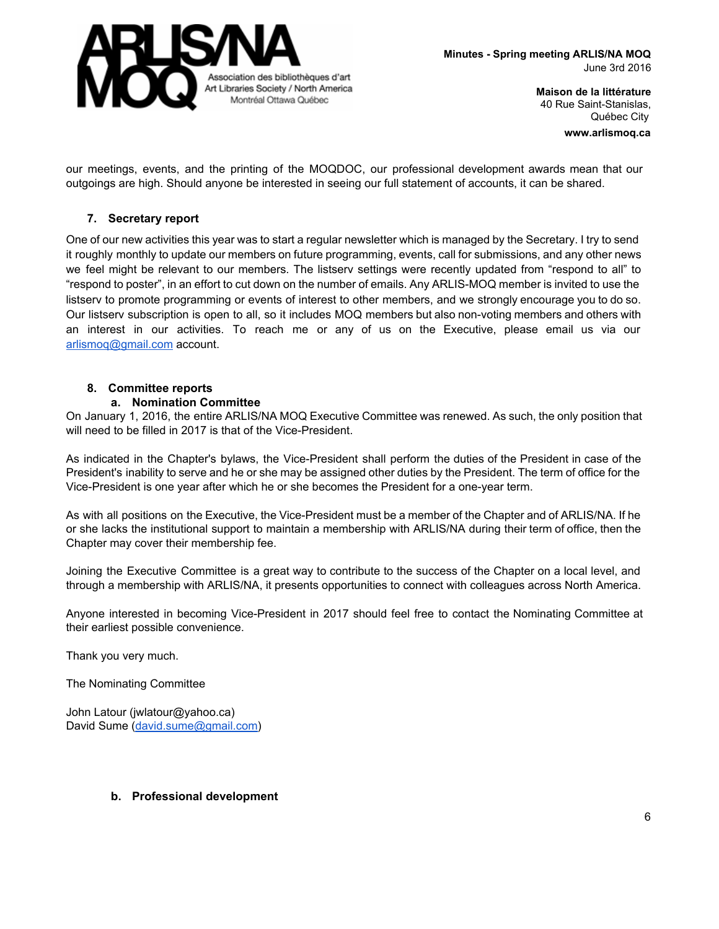

our meetings, events, and the printing of the MOQDOC, our professional development awards mean that our outgoings are high. Should anyone be interested in seeing our full statement of accounts, it can be shared.

## **7. Secretary report**

One of our new activities this year was to start a regular newsletter which is managed by the Secretary. I try to send it roughly monthly to update our members on future programming, events, call for submissions, and any other news we feel might be relevant to our members. The listserv settings were recently updated from "respond to all" to "respond to poster", in an effort to cut down on the number of emails. Any ARLIS-MOQ member is invited to use the listserv to promote programming or events of interest to other members, and we strongly encourage you to do so. Our listserv subscription is open to all, so it includes MOQ members but also nonvoting members and others with an interest in our activities. To reach me or any of us on the Executive, please email us via our [arlismoq@gmail.com](mailto:arlismoq@gmail.com) account.

# **8. Committee reports**

#### **a. Nomination Committee**

On January 1, 2016, the entire ARLIS/NA MOQ Executive Committee was renewed. As such, the only position that will need to be filled in 2017 is that of the Vice-President.

As indicated in the Chapter's bylaws, the Vice-President shall perform the duties of the President in case of the President's inability to serve and he or she may be assigned other duties by the President. The term of office for the Vice-President is one year after which he or she becomes the President for a one-year term.

As with all positions on the Executive, the Vice-President must be a member of the Chapter and of ARLIS/NA. If he or she lacks the institutional support to maintain a membership with ARLIS/NA during their term of office, then the Chapter may cover their membership fee.

Joining the Executive Committee is a great way to contribute to the success of the Chapter on a local level, and through a membership with ARLIS/NA, it presents opportunities to connect with colleagues across North America.

Anyone interested in becoming Vice-President in 2017 should feel free to contact the Nominating Committee at their earliest possible convenience.

Thank you very much.

The Nominating Committee

John Latour (jwlatour@yahoo.ca) David Sume [\(david.sume@gmail.com\)](mailto:david.sume@gmail.com)

#### **b. Professional development**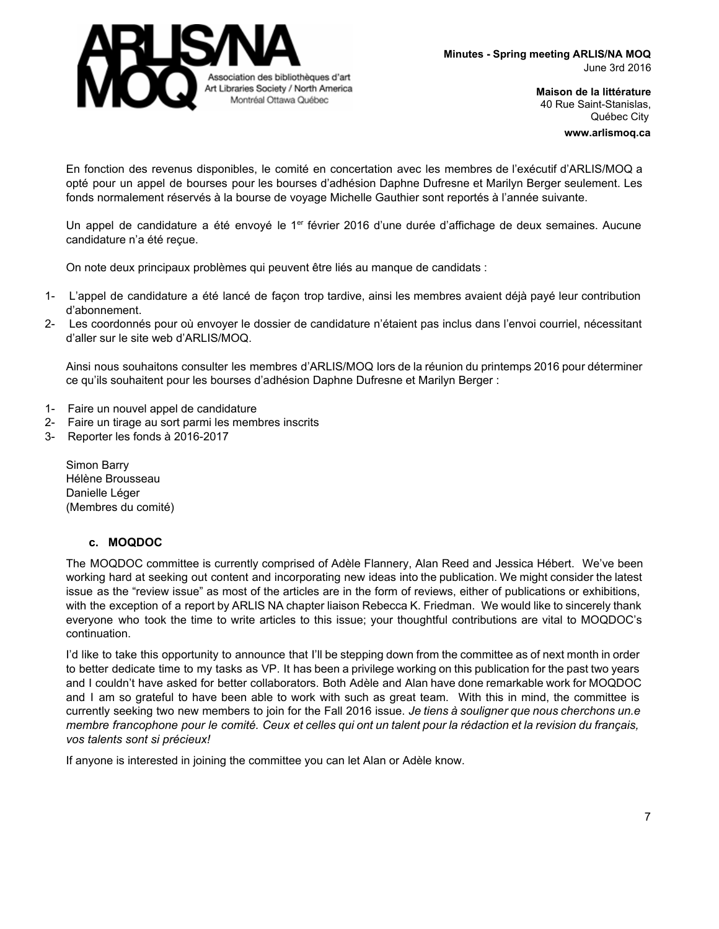

En fonction des revenus disponibles, le comité en concertation avec les membres de l'exécutif d'ARLIS/MOQ a opté pour un appel de bourses pour les bourses d'adhésion Daphne Dufresne et Marilyn Berger seulement. Les fonds normalement réservés à la bourse de voyage Michelle Gauthier sont reportés à l'année suivante.

Un appel de candidature a été envoyé le 1<sup>er</sup> février 2016 d'une durée d'affichage de deux semaines. Aucune candidature n'a été reçue.

On note deux principaux problèmes qui peuvent être liés au manque de candidats :

- 1 L'appel de candidature a été lancé de façon trop tardive, ainsi les membres avaient déjà payé leur contribution d'abonnement.
- 2 Les coordonnés pour où envoyer le dossier de candidature n'étaient pas inclus dans l'envoi courriel, nécessitant d'aller sur le site web d'ARLIS/MOQ.

Ainsi nous souhaitons consulter les membres d'ARLIS/MOQ lors de la réunion du printemps 2016 pour déterminer ce qu'ils souhaitent pour les bourses d'adhésion Daphne Dufresne et Marilyn Berger :

- 1- Faire un nouvel appel de candidature
- 2- Faire un tirage au sort parmi les membres inscrits
- 3- Reporter les fonds à 2016-2017

Simon Barry Hélène Brousseau Danielle Léger (Membres du comité)

#### **c. MOQDOC**

The MOQDOC committee is currently comprised of Adèle Flannery, Alan Reed and Jessica Hébert. We've been working hard at seeking out content and incorporating new ideas into the publication. We might consider the latest issue as the "review issue" as most of the articles are in the form of reviews, either of publications or exhibitions, with the exception of a report by ARLIS NA chapter liaison Rebecca K. Friedman. We would like to sincerely thank everyone who took the time to write articles to this issue; your thoughtful contributions are vital to MOQDOC's continuation.

I'd like to take this opportunity to announce that I'll be stepping down from the committee as of next month in order to better dedicate time to my tasks as VP. It has been a privilege working on this publication for the past two years and I couldn't have asked for better collaborators. Both Adèle and Alan have done remarkable work for MOQDOC and I am so grateful to have been able to work with such as great team. With this in mind, the committee is currently seeking two new members to join for the Fall 2016 issue. *Je tiens à souligner que nous cherchons un.e* membre francophone pour le comité. Ceux et celles qui ont un talent pour la rédaction et la revision du français, *vos talents sont si précieux!*

If anyone is interested in joining the committee you can let Alan or Adèle know.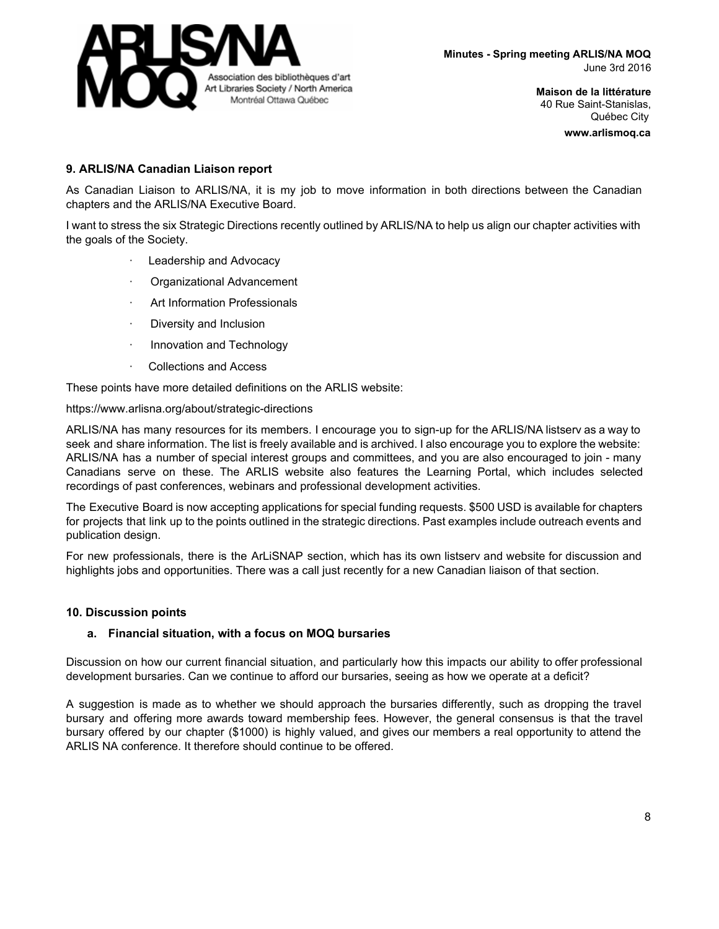

## **9. ARLIS/NA Canadian Liaison report**

As Canadian Liaison to ARLIS/NA, it is my job to move information in both directions between the Canadian chapters and the ARLIS/NA Executive Board.

I want to stress the six Strategic Directions recently outlined by ARLIS/NA to help us align our chapter activities with the goals of the Society.

- ∙ Leadership and Advocacy
- ∙ Organizational Advancement
- ∙ Art Information Professionals
- ∙ Diversity and Inclusion
- ∙ Innovation and Technology
- ∙ Collections and Access

These points have more detailed definitions on the ARLIS website:

#### https://www.arlisna.org/about/strategic-directions

ARLIS/NA has many resources for its members. I encourage you to sign-up for the ARLIS/NA listserv as a way to seek and share information. The list is freely available and is archived. I also encourage you to explore the website: ARLIS/NA has a number of special interest groups and committees, and you are also encouraged to join - many Canadians serve on these. The ARLIS website also features the Learning Portal, which includes selected recordings of past conferences, webinars and professional development activities.

The Executive Board is now accepting applications for special funding requests. \$500 USD is available for chapters for projects that link up to the points outlined in the strategic directions. Past examples include outreach events and publication design.

For new professionals, there is the ArLiSNAP section, which has its own listserv and website for discussion and highlights jobs and opportunities. There was a call just recently for a new Canadian liaison of that section.

#### **10. Discussion points**

#### **a. Financial situation, with a focus on MOQ bursaries**

Discussion on how our current financial situation, and particularly how this impacts our ability to offer professional development bursaries. Can we continue to afford our bursaries, seeing as how we operate at a deficit?

A suggestion is made as to whether we should approach the bursaries differently, such as dropping the travel bursary and offering more awards toward membership fees. However, the general consensus is that the travel bursary offered by our chapter (\$1000) is highly valued, and gives our members a real opportunity to attend the ARLIS NA conference. It therefore should continue to be offered.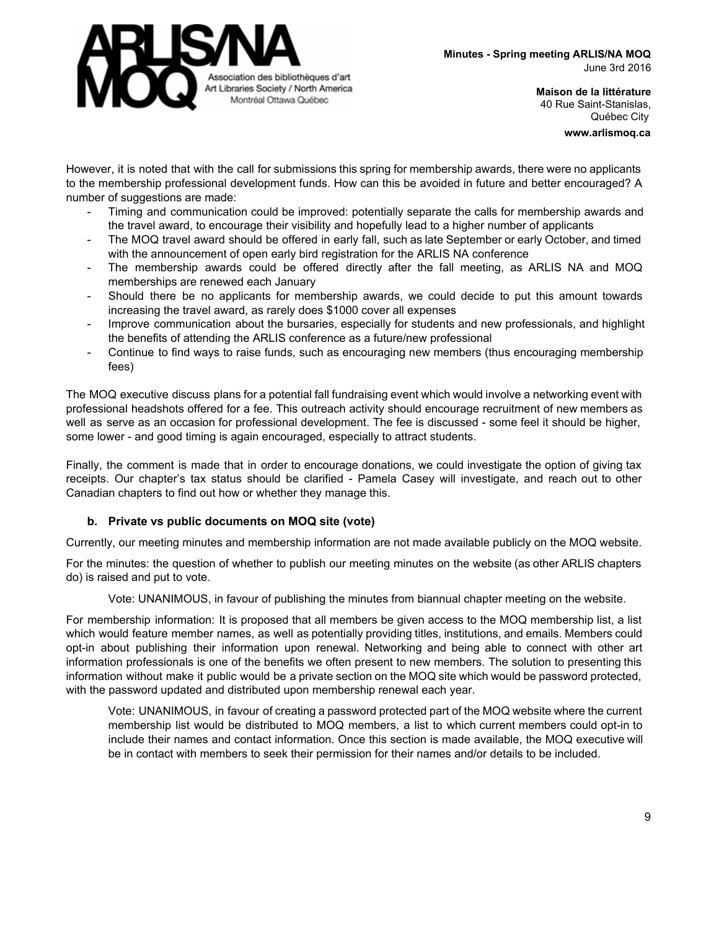

However, it is noted that with the call for submissions this spring for membership awards, there were no applicants to the membership professional development funds. How can this be avoided in future and better encouraged? A number of suggestions are made:

- Timing and communication could be improved: potentially separate the calls for membership awards and the travel award, to encourage their visibility and hopefully lead to a higher number of applicants
- The MOQ travel award should be offered in early fall, such as late September or early October, and timed with the announcement of open early bird registration for the ARLIS NA conference
- The membership awards could be offered directly after the fall meeting, as ARLIS NA and MOQ memberships are renewed each January
- Should there be no applicants for membership awards, we could decide to put this amount towards increasing the travel award, as rarely does \$1000 cover all expenses
- Improve communication about the bursaries, especially for students and new professionals, and highlight the benefits of attending the ARLIS conference as a future/new professional
- Continue to find ways to raise funds, such as encouraging new members (thus encouraging membership fees)

The MOQ executive discuss plans for a potential fall fundraising event which would involve a networking event with professional headshots offered for a fee. This outreach activity should encourage recruitment of new members as well as serve as an occasion for professional development. The fee is discussed - some feel it should be higher, some lower - and good timing is again encouraged, especially to attract students.

Finally, the comment is made that in order to encourage donations, we could investigate the option of giving tax receipts. Our chapter's tax status should be clarified - Pamela Casey will investigate, and reach out to other Canadian chapters to find out how or whether they manage this.

# **b. Private vs public documents on MOQ site (vote)**

Currently, our meeting minutes and membership information are not made available publicly on the MOQ website.

For the minutes: the question of whether to publish our meeting minutes on the website (as other ARLIS chapters do) is raised and put to vote.

Vote: UNANIMOUS, in favour of publishing the minutes from biannual chapter meeting on the website.

For membership information: It is proposed that all members be given access to the MOQ membership list, a list which would feature member names, as well as potentially providing titles, institutions, and emails. Members could opt-in about publishing their information upon renewal. Networking and being able to connect with other art information professionals is one of the benefits we often present to new members. The solution to presenting this information without make it public would be a private section on the MOQ site which would be password protected, with the password updated and distributed upon membership renewal each year.

Vote: UNANIMOUS, in favour of creating a password protected part of the MOQ website where the current membership list would be distributed to MOQ members, a list to which current members could opt-in to include their names and contact information. Once this section is made available, the MOQ executive will be in contact with members to seek their permission for their names and/or details to be included.